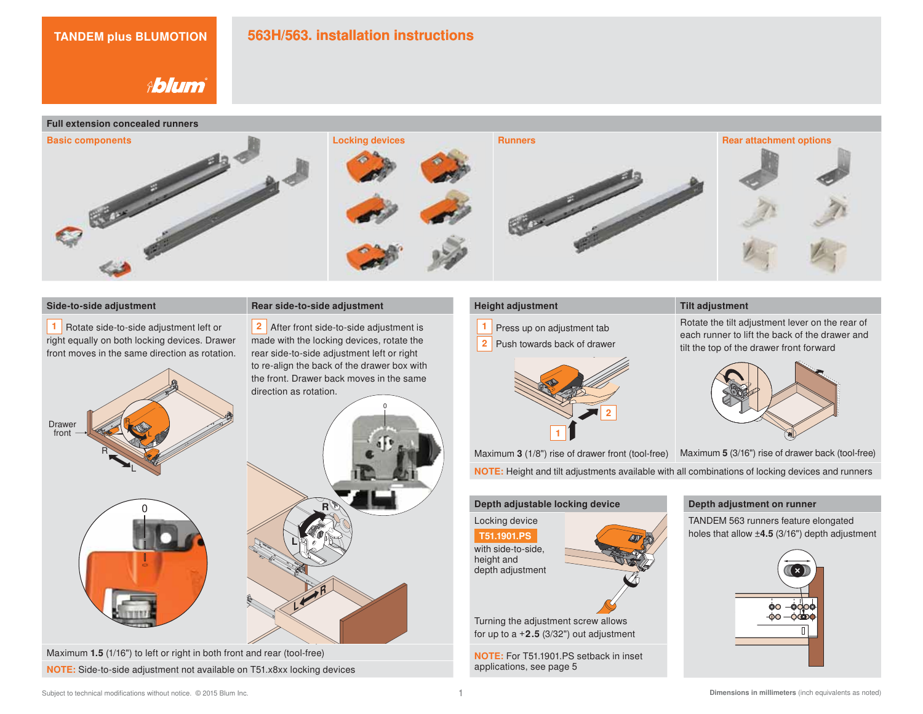# **563H/563. installation instructions**

**Ablum** 

#### **Full extension concealed runners**



**<sup>1</sup>** Rotate side-to-side adjustment left or right equally on both locking devices. Drawer front moves in the same direction as rotation.



Maximum **1.5** (1/16") to left or right in both front and rear (tool-free) **NOTE:** Side-to-side adjustment not available on T51.x8xx locking devices

#### **Side-to-side adjustment Rear side-to-side adjustment**

**2** After front side-to-side adjustment is made with the locking devices, rotate the rear side-to-side adjustment left or right to re-align the back of the drawer box with the front. Drawer back moves in the same direction as rotation.



- **1** Press up on adjustment tab
- **2** Push towards back of drawer



# **Height adjustment** Tilt adjustment

Rotate the tilt adjustment lever on the rear of each runner to lift the back of the drawer and tilt the top of the drawer front forward



Maximum **3** (1/8") rise of drawer front (tool-free) Maximum **5** (3/16") rise of drawer back (tool-free)

**NOTE:** Height and tilt adjustments available with all combinations of locking devices and runners

### **Depth adjustable locking device**

Locking device with side-to-side, height and depth adjustment **T51.1901.PS**

Turning the adjustment screw allows for up to  $a + 2.5$  (3/32") out adjustment

**NOTE:** For T51.1901.PS setback in inset applications, see page 5

#### **Depth adjustment on runner**

TANDEM 563 runners feature elongated holes that allow ±**4.5** (3/16") depth adjustment

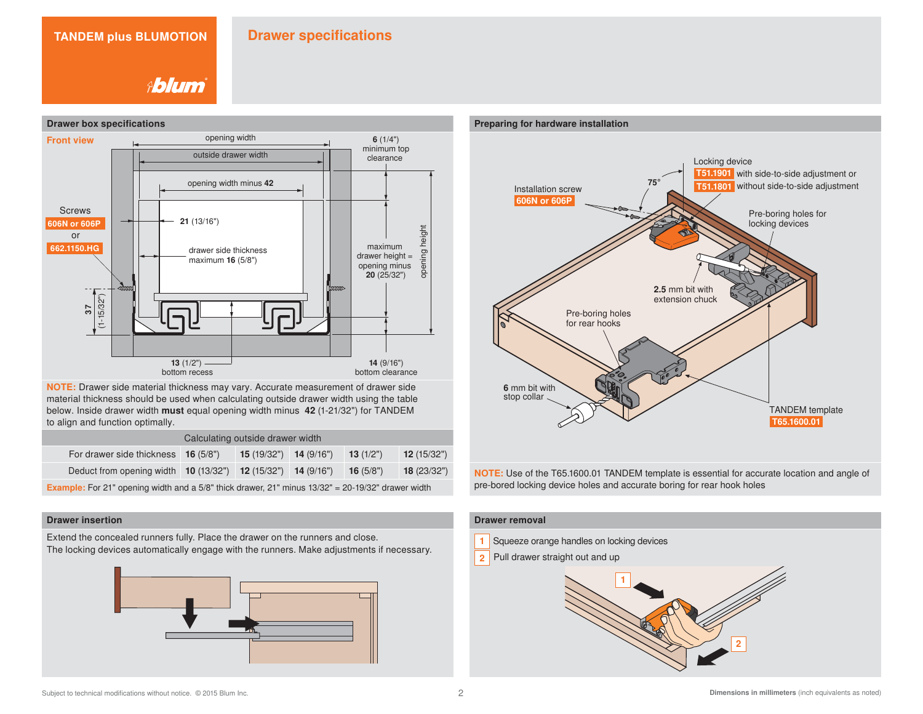#### **TANDEM plus BLUMOTION Drawer specifications**

**Ablum** 



**NOTE:** Drawer side material thickness may vary. Accurate measurement of drawer side material thickness should be used when calculating outside drawer width using the table below. Inside drawer width **must** equal opening width minus **42** (1-21/32") for TANDEM to align and function optimally.

|                                                                                                          | Calculating outside drawer width |                         |  |             |            |  |  |  |  |  |  |  |  |  |  |
|----------------------------------------------------------------------------------------------------------|----------------------------------|-------------------------|--|-------------|------------|--|--|--|--|--|--|--|--|--|--|
| For drawer side thickness 16 (5/8")                                                                      |                                  | $15(19/32")$ 14 (9/16") |  | 13 $(1/2")$ | 12(15/32") |  |  |  |  |  |  |  |  |  |  |
| Deduct from opening width <b>10</b> (13/32") <b>12</b> (15/32") <b>14</b> (9/16")                        |                                  |                         |  | 16 $(5/8")$ | 18(23/32") |  |  |  |  |  |  |  |  |  |  |
| <b>Example:</b> For 21" opening width and a 5/8" thick drawer, 21" minus 13/32" = 20-19/32" drawer width |                                  |                         |  |             |            |  |  |  |  |  |  |  |  |  |  |

#### **Drawer insertion**

Extend the concealed runners fully. Place the drawer on the runners and close.

The locking devices automatically engage with the runners. Make adjustments if necessary.





**NOTE:** Use of the T65.1600.01 TANDEM template is essential for accurate location and angle of pre-bored locking device holes and accurate boring for rear hook holes

### **Drawer removal**

- **1** Squeeze orange handles on locking devices
- **2** Pull drawer straight out and up

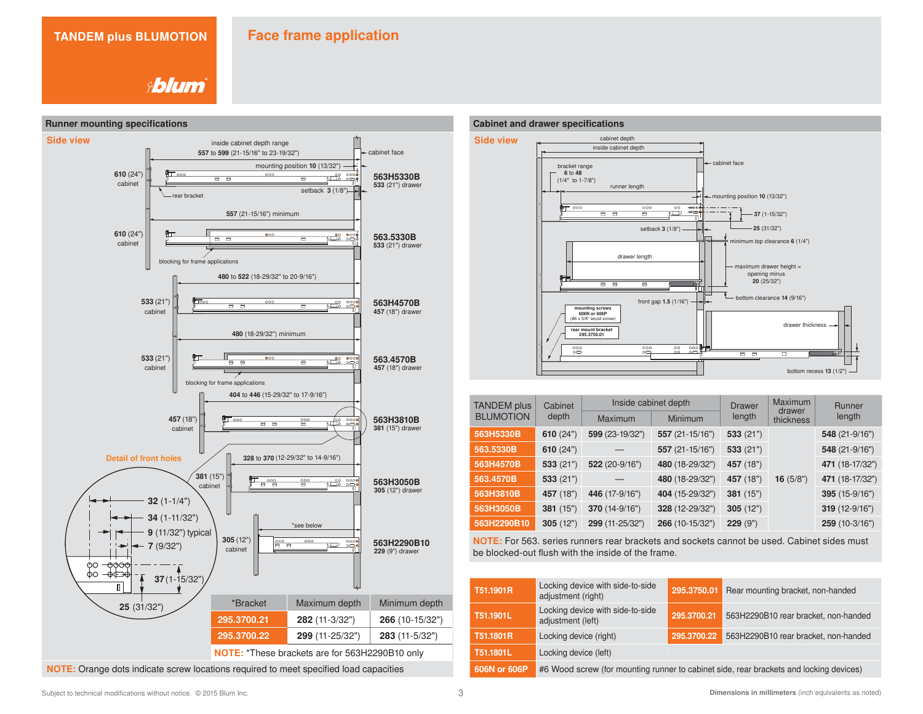**Ablum** 



# **Cabinet and drawer specifications**



| <b>TANDEM</b> plus | Cabinet     |                 | Inside cabinet depth | <b>Drawer</b> | Maximum             | Runner          |  |  |  |
|--------------------|-------------|-----------------|----------------------|---------------|---------------------|-----------------|--|--|--|
| <b>BLUMOTION</b>   | depth       | Maximum         | <b>Minimum</b>       | length        | drawer<br>thickness | length          |  |  |  |
| 563H5330B          | 610 $(24")$ | 599 (23-19/32") | 557 (21-15/16")      | 533(21")      |                     | 548 (21-9/16")  |  |  |  |
| 563.5330B          | 610 $(24")$ |                 | 557 (21-15/16")      | 533(21")      |                     | 548 (21-9/16")  |  |  |  |
| 563H4570B          | 533(21")    | 522 (20-9/16")  | 480 (18-29/32")      | 457 (18")     |                     | 471 (18-17/32") |  |  |  |
| 563.4570B          | 533(21")    |                 | 480 (18-29/32")      | 457 (18")     | 16 $(5/8")$         | 471 (18-17/32") |  |  |  |
| 563H3810B          | 457 (18")   | 446 (17-9/16")  | 404 (15-29/32")      | 381 (15")     |                     | 395 (15-9/16")  |  |  |  |
| 563H3050B          | 381 (15")   | 370 (14-9/16")  | 328 (12-29/32")      | 305(12")      |                     | 319 (12-9/16")  |  |  |  |
| 563H2290B10        | 305(12")    | 299 (11-25/32") | 266 (10-15/32")      | 229 (9")      |                     | 259 (10-3/16")  |  |  |  |

**NOTE:** For 563. series runners rear brackets and sockets cannot be used. Cabinet sides must be blocked-out flush with the inside of the frame.

| T51.1901R    | Locking device with side-to-side<br>adjustment (right) | 295.3750.01 | Rear mounting bracket, non-handed                                                      |
|--------------|--------------------------------------------------------|-------------|----------------------------------------------------------------------------------------|
| T51.1901L    | Locking device with side-to-side<br>adjustment (left)  | 295.3700.21 | 563H2290B10 rear bracket, non-handed                                                   |
| T51.1801R    | Locking device (right)                                 | 295.3700.22 | 563H2290B10 rear bracket, non-handed                                                   |
| T51.1801L    | Locking device (left)                                  |             |                                                                                        |
| 606N or 606P |                                                        |             | #6 Wood screw (for mounting runner to cabinet side, rear brackets and locking devices) |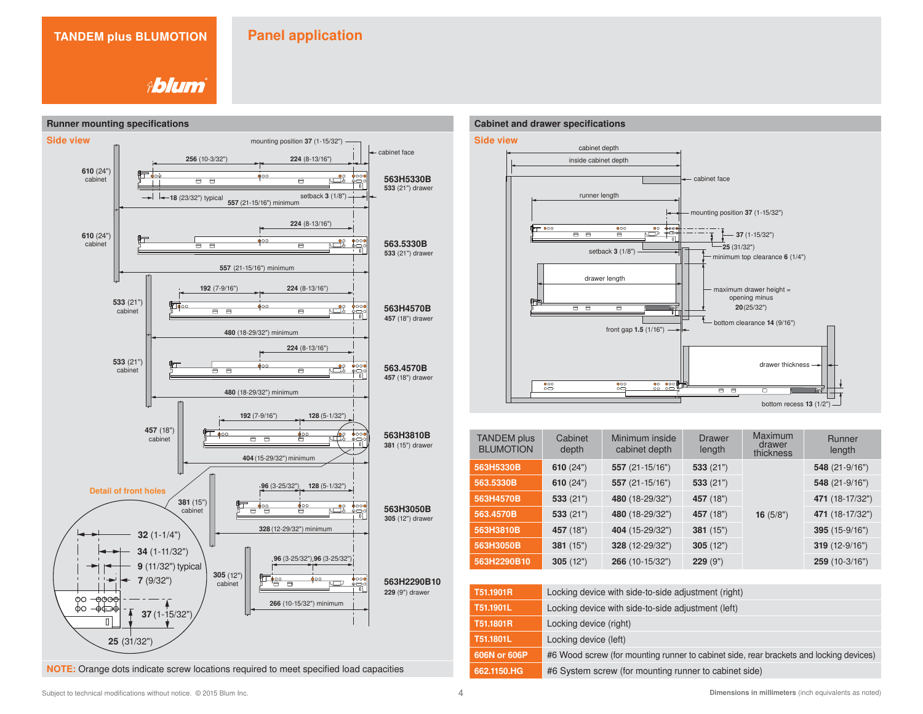**Ablum** 



**NOTE:** Orange dots indicate screw locations required to meet specified load capacities





| <b>TANDEM</b> plus<br><b>BLUMOTION</b> | Cabinet<br>depth | Minimum inside<br>cabinet depth | <b>Drawer</b><br>length | Maximum<br>drawer<br>thickness | <b>Runner</b><br>length |  |  |
|----------------------------------------|------------------|---------------------------------|-------------------------|--------------------------------|-------------------------|--|--|
| 563H5330B                              | 610 $(24")$      | 557 $(21-15/16")$               | 533(21")                |                                | $548(21-9/16")$         |  |  |
| 563.5330B                              | 610 $(24")$      | 557 (21-15/16")                 | 533(21")                |                                | $548(21-9/16")$         |  |  |
| 563H4570B                              | 533(21")         | 480 (18-29/32")                 | 457 (18")               |                                | 471 (18-17/32")         |  |  |
| 563.4570B                              | 533(21")         | 480 (18-29/32")                 | 457 (18")               | 16 $(5/8")$                    | 471 (18-17/32")         |  |  |
| 563H3810B                              | 457 (18")        | 404 (15-29/32")                 | 381 (15")               |                                | 395 (15-9/16")          |  |  |
| 563H3050B                              | 381(15")         | 328 (12-29/32")                 | 305(12")                |                                | 319 (12-9/16")          |  |  |
| 563H2290B10                            | 305(12")         | 266 (10-15/32")                 | 229 (9")                |                                | 259 (10-3/16")          |  |  |

| T51.1901R    | Locking device with side-to-side adjustment (right)                                    |
|--------------|----------------------------------------------------------------------------------------|
| T51.1901L    | Locking device with side-to-side adjustment (left)                                     |
| T51.1801R    | Locking device (right)                                                                 |
| T51.1801L    | Locking device (left)                                                                  |
| 606N or 606P | #6 Wood screw (for mounting runner to cabinet side, rear brackets and locking devices) |
| 662.1150.HG  | #6 System screw (for mounting runner to cabinet side)                                  |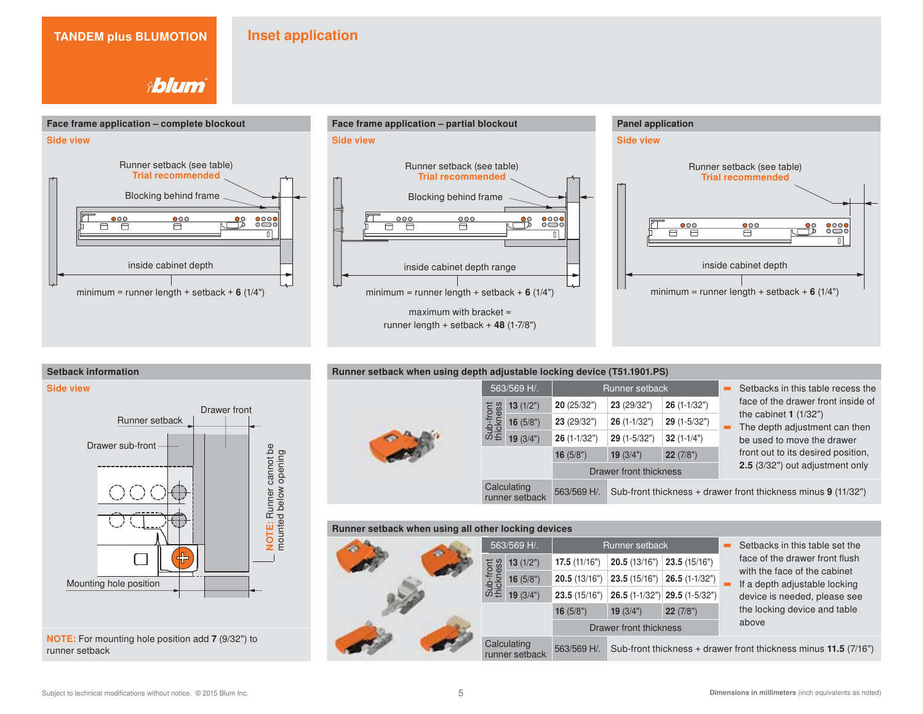# **Inset application**

**Ablum** 







| Runner setback when using depth adjustable locking device (T51.1901.PS) |                        |                               |               |                        |               |                                                               |  |  |  |  |
|-------------------------------------------------------------------------|------------------------|-------------------------------|---------------|------------------------|---------------|---------------------------------------------------------------|--|--|--|--|
|                                                                         |                        | 563/569 H/.                   |               | Runner setback         |               | Setbacks in this table recess the                             |  |  |  |  |
|                                                                         |                        | 13(1/2")                      | 20(25/32")    | 23 (29/32")            | $26(1-1/32")$ | face of the drawer front inside of                            |  |  |  |  |
|                                                                         | Sub-front<br>thickness | 16 $(5/8")$                   | 23 (29/32")   | $26(1-1/32")$          | $29(1-5/32")$ | the cabinet $1(1/32")$<br>The depth adjustment can then       |  |  |  |  |
|                                                                         |                        | 19(3/4")                      | $26(1-1/32")$ | $29(1-5/32")$          | $32(1-1/4")$  | be used to move the drawer                                    |  |  |  |  |
|                                                                         |                        |                               | 16 $(5/8")$   | 19 $(3/4")$            | 22(7/8")      | front out to its desired position,                            |  |  |  |  |
|                                                                         |                        |                               |               | Drawer front thickness |               | 2.5 (3/32") out adjustment only                               |  |  |  |  |
|                                                                         |                        | Calculating<br>runner setback | 563/569 H/.   |                        |               | Sub-front thickness + drawer front thickness minus 9 (11/32") |  |  |  |  |

#### **Runner setback when using all other locking devices g**

|  |     | 563/569 H/.                   |              | Runner setback         |                                 | Setbacks in this table set the                                  |
|--|-----|-------------------------------|--------------|------------------------|---------------------------------|-----------------------------------------------------------------|
|  | ess | 13(1/2")                      | 17.5(11/16") | 20.5(13/16")           | 23.5 (15/16")                   | face of the drawer front flush                                  |
|  |     | 16(5/8")                      | 20.5(13/16") | 23.5(15/16")           | $26.5(1-1/32")$                 | with the face of the cabinet<br>If a depth adjustable locking   |
|  |     | 19(3/4")                      | 23.5(15/16") |                        | $26.5$ (1-1/32") 29.5 (1-5/32") | device is needed, please see                                    |
|  |     |                               | 16 $(5/8")$  | 19(3/4")               | 22(7/8")                        | the locking device and table                                    |
|  |     |                               |              | Drawer front thickness |                                 | above                                                           |
|  |     | Calculating<br>runner setback | 563/569 H/.  |                        |                                 | Sub-front thickness + drawer front thickness minus 11.5 (7/16") |





**NOTE:** For mounting hole position add **7** (9/32") to runner setback